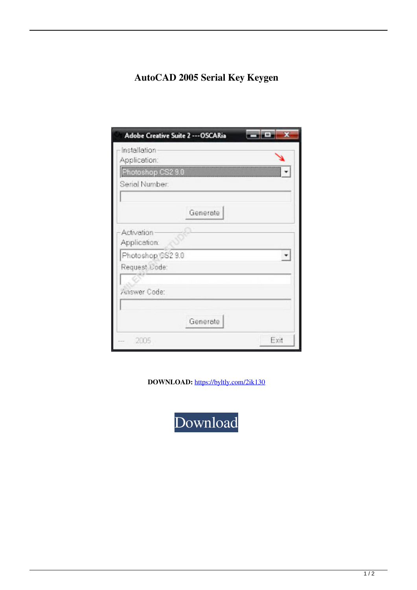## **AutoCAD 2005 Serial Key Keygen**

| Adobe Creative Suite 2 --- OSCARia |          |      |
|------------------------------------|----------|------|
| Installation<br>Application:       |          |      |
| Photoshop CS2 9.0                  |          |      |
| Serial Number:                     |          |      |
|                                    | Generate |      |
| Activation<br>Application:         |          |      |
| Photoshop SS2 9.0                  |          |      |
| Request Code:                      |          |      |
| Answer Code:                       |          |      |
|                                    | Generate |      |
| 2005                               |          | Exit |

**DOWNLOAD:** <https://byltly.com/2ik130>